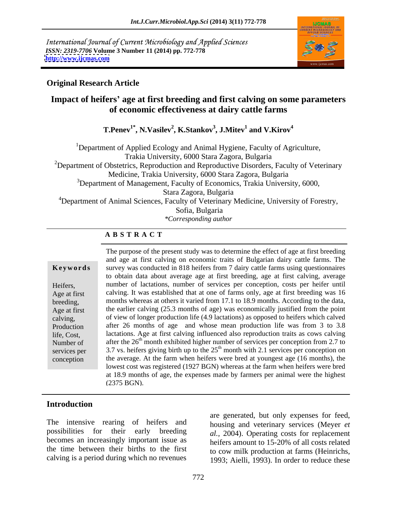International Journal of Current Microbiology and Applied Sciences *ISSN: 2319-7706* **Volume 3 Number 11 (2014) pp. 772-778 <http://www.ijcmas.com>**



## **Original Research Article**

# **Impact of heifers age at first breeding and first calving on some parameters of economic effectiveness at dairy cattle farms**

 $\bf{T}.Penev^{1*}, N.Vasilev^2, K.Stankov^3, J.Mitev^1~and~V.Kirov^4$ **and V.Kirov<sup>4</sup>**

<sup>1</sup>Department of Applied Ecology and Animal Hygiene, Faculty of Agriculture, Trakia University, 6000 Stara Zagora, Bulgaria <sup>2</sup>Department of Obstetrics, Reproduction and Reproductive Disorders, Faculty of Veterinary Medicine, Trakia University, 6000 Stara Zagora, Bulgaria  $3$ Department of Management, Faculty of Economics, Trakia University, 6000, Stara Zagora, Bulgaria <sup>4</sup>Department of Animal Sciences, Faculty of Veterinary Medicine, University of Forestry, Sofia, Bulgaria *\*Corresponding author*

#### **A B S T R A C T**

**Ke ywo rds** survey was conducted in 818 heifers from 7 dairy cattle farms using questionnaires Heifers, number of lactations, number of services per conception, costs per heifer until Age at first calving. It was established that at one of farms only, age at first breeding was 16 breeding, months whereas at others it varied from 17.1 to 18.9 months. According to the data, Age at first the earlier calving (25.3 months of age) was economically justified from the point calving, of view of longer production life (4.9 lactations) as opposed to heifers which calved Production after 26 months of age and whose mean production life was from 3 to 3.8 life, Cost, lactations. Age at first calving influenced also reproduction traits as cows calving Number of after the  $26<sup>th</sup>$  month exhibited higher number of services per conception from 2.7 to services per  $\qquad$  3.7 vs. heifers giving birth up to the  $25<sup>th</sup>$  month with 2.1 services per conception on conception the average. At the farm when heifers were bred at youngest age (16 months), the The purpose of the present study was to determine the effect of age at first breeding and age at first calving on economic traits of Bulgarian dairy cattle farms. The to obtain data about average age at first breeding, age at first calving, average lowest cost was registered (1927 BGN) whereas at the farm when heifers were bred at 18.9 months of age, the expenses made by farmers per animal were the highest (2375 BGN).

## **Introduction**

The intensive rearing of heifers and possibilities for their early breeding becomes an increasingly important issue as the time between their births to the first calving is a period during which no revenues

are generated, but only expenses for feed, housing and veterinary services (Meyer *et al.,* 2004). Operating costs for replacement heifers amount to 15-20% of all costs related to cow milk production at farms (Heinrichs, 1993; Aielli, 1993). In order to reduce these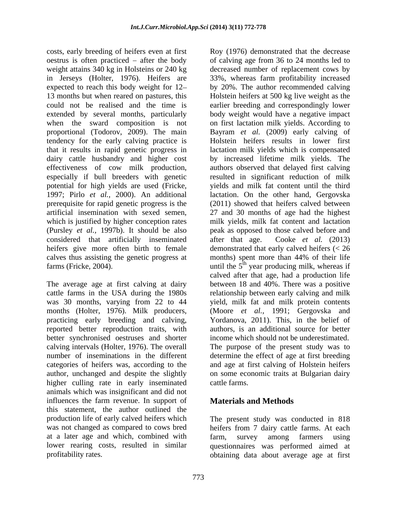costs, early breeding of heifers even at first Roy (1976) demonstrated that the decrease weight attains 340 kg in Holsteins or 240 kg in Jerseys (Holter, 1976). Heifers are that it results in rapid genetic progress in effectiveness of cow milk production, especially if bull breeders with genetic prerequisite for rapid genetic progress is the artificial insemination with sexed semen, considered that artificially inseminated after that age. Cooke *et al.* (2013)

was 30 months, varying from 22 to 44 practicing early breeding and calving, reported better reproduction traits, with better synchronised oestruses and shorter author, unchanged and despite the slightly higher culling rate in early inseminated cattle farms. animals which was insignificant and did not influences the farm revenue. In support of this statement, the author outlined the production life of early calved heiferswhich The present study was conducted in 818 was not changed as compared to cows bred heifers from 7 dairy cattle farms. At each at a later age and which, combined with lower rearing costs, resulted in similar questionnaires was performed aimed at

oestrus is often practiced – after the body of calving age from 36 to 24 months led to expected to reach this body weight for 12 by 20%. The author recommended calving 13 months but when reared on pastures, this Holstein heifers at 500 kg live weight as the could not be realised and the time is earlier breeding and correspondingly lower extended by several months, particularly body weight would have a negative impact when the sward composition is not on first lactation milk yields. According to proportional (Todorov, 2009). The main Bayram *et al.* (2009) early calving of tendency for the early calving practice is Holstein heifers results in lower first dairy cattle husbandry and higher cost by increased lifetime milk yields. The potential for high yields are used (Fricke, 1997; Pirlo *et al.,* 2000). An additional which is justified by higher conception rates milk yields, milk fat content and lactation (Pursley *et al.,* 1997b). It should be also peak as opposed to those calved before and heifers give more often birth to female demonstrated that early calved heifers (< 26 calves thus assisting the genetic progress at months) spent more than 44% of their life farms (Fricke, 2004).  $\qquad \qquad$  until the  $5^{\text{th}}$  year producing milk, whereas if The average age at first calving at dairy between 18 and 40%. There was a positive cattle farms in the USA during the 1980s relationship between early calving and milk months (Holter, 1976). Milk producers, (Moore *et al.,* 1991; Gergovska and calving intervals (Holter, 1976). The overall The purpose of the present study was to number of inseminations in the different determine the effect of age at first breeding categories of heifers was, according to the and age at first calving of Holstein heifers proximative the mode of the section of the section of the section of the decreased that the decreased that the decreased that the decreased that the section of the section of the section of the section of the section of t decreased number of replacement cows by 33%, whereas farm profitability increased lactation milk yields which is compensated authors observed that delayed first calving resulted in significant reduction of milk yields and milk fat content until the third lactation. On the other hand, Gergovska (2011) showed that heifers calved between 27 and 30 months of age had the highest after that age. Cooke *et al.* (2013) calved after that age, had a production life yield, milk fat and milk protein contents Yordanova, 2011). This, in the belief of authors, is an additional source for better income which should not be underestimated. on some economic traits at Bulgarian dairy cattle farms.

# **Materials and Methods**

farm, survey among farmers using obtaining data about average age at first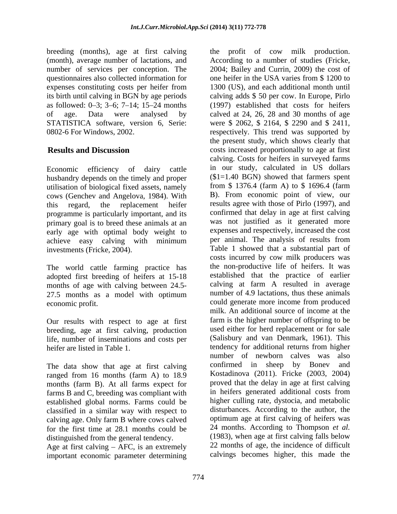breeding (months), age at first calving expenses constituting costs per heifer from STATISTICA software, version 6, Serie: were \$ 2062, \$ 2164, \$ 2290 and \$ 2411, 0802-6 For Windows, 2002. respectively. This trend was supported by

husbandry depends on the timely and proper utilisation of biological fixed assets, namely cows (Genchev and Angelova, 1984). With programme is particularly important, and its primary goal is to breed these animals at an early age with optimal body weight to achieve easy calving with minimum

The world cattle farming practice has adopted first breeding of heifers at 15-18 months of age with calving between 24.5- 27.5 months as a model with optimum

Our results with respect to age at first breeding, age at first calving, production life, number of inseminations and costs per heifer are listed in Table 1. The extendency for additional returns from higher

The data show that age at first calving confirmed in sheep by Boney and ranged from 16 months (farm A) to 18.9 months (farm B). At all farms expect for farms B and C, breeding was compliant with established global norms. Farms could be classified in a similar way with respect to calving age. Only farm B where cows calved for the first time at 28.1 months could be distinguished from the general tendency.

Age at first calving  $-$  AFC, is an extremely important economic parameter determining

(month), average number of lactations, and According to a number of studies (Fricke, number of services per conception. The 2004; Bailey and Currin, 2009) the cost of questionnaires also collected information for one heifer in the USA varies from \$ 1200 to its birth until calving in BGN by age periods calving adds \$ 50 per cow. In Europe, Pirlo as followed:  $0\text{--}3$ ;  $3\text{--}6$ ;  $7\text{--}14$ ;  $15\text{--}24$  months (1997) established that costs for heifers of age. Data were analysed by calved at 24, 26, 28 and 30 months of age **Results and Discussion** costs increased proportionally to age at first Economic efficiency of dairy cattle in our study, calculated in US dollars this regard, the replacement heifer results agree with those of Pirlo (1997), and investments (Fricke, 2004). Table 1 showed that a substantial part of economic profit. The could generate more income from produced the profit of cow milk production. 1300 (US), and each additional month until were \$ 2062, \$ 2164, \$ <sup>2290</sup> and \$ 2411, respectively. This trend was supported by the present study, which shows clearly that calving. Costs for heifers in surveyed farms  $($1=1.40$  BGN) showed that farmers spent from  $$ 1376.4$  (farm A) to  $$ 1696.4$  (farm ). From economic point of view, our confirmed that delay in age at first calving was not justified as it generated more expenses and respectively, increased the cost per animal. The analysis of results from costs incurred by cow milk producers was the non-productive life of heifers. It was established that the practice of earlier calving at farm A resulted in average number of 4.9 lactations, thus these animals milk. An additional source of income at the farm is the higher number of offspring to be used either for herd replacement or for sale (Salisbury and van Denmark, 1961). This tendency for additional returns from higher number of newborn calves was also confirmed in sheep by Boney Kostadinova (2011). Fricke (2003, 2004) proved that the delay in age at first calving in heifers generated additional costs from higher culling rate, dystocia, and metabolic disturbances. According to the author, the optimum age at first calving of heifers was 24 months. According to Thompson *et al.* (1983), when age at first calving falls below 22 months of age, the incidence of difficult calvings becomes higher, this made the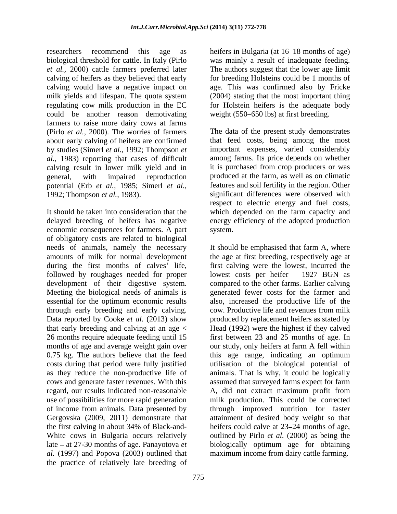researchers recommend this age as heifers in Bulgaria (at 16–18 months of age) biological threshold for cattle. In Italy (Pirlo was mainly a result of inadequate feeding. *et al.,* 2000) cattle farmers preferred later calving of heifers as they believed that early for breeding Holsteins could be 1 months of calving would have a negative impact on age. This was confirmed also by Fricke milk yields and lifespan. The quota system regulating cow milk production in the EC for Holstein heifers is the adequate body could be another reason demotivating farmers to raise more dairy cows at farms (Pirlo *et al.,* 2000). The worries of farmers about early calving of heifers are confirmed by studies (Simerl *et al.,* 1992; Thompson *et al.,* 1983) reporting that cases of difficult calving result in lower milk yield and in general, with impaired reproduction produced at the farm, as well as on climatic potential (Erb *et al.,* 1985; Simerl *et al.,* 1992; Thompson *et al.,* 1983). significant differences were observed with

It should be taken into consideration that the which depended on the farm capacity and delayed breeding of heifers has negative energy efficiency of the adopted production economic consequences for farmers. A part of obligatory costs are related to biological needs of animals, namely the necessary It should be emphasised that farm A, where amounts of milk for normal development the age at first breeding, respectively age at development of their digestive system. essential for the optimum economic results 26 months require adequate feeding until 15 as they reduce the non-productive life of cows and generate faster revenues. With this al. (1997) and Popova (2003) outlined that maximum income from dairy cattle farming. the practice of relatively late breeding of

The authors suggest that the lower age limit (2004) stating that the most important thing weight (550–650 lbs) at first breeding.

The data of the present study demonstrates that feed costs, being among the most important expenses, varied considerably among farms. Its price depends on whether it is purchased from crop producers or was features and soil fertility in the region. Other respect to electric energy and fuel costs,

amounts of milk for normal development the age at first breeding, respectively age at during the first months of calves' life, first calving were the lowest, incurred the followed by roughages needed for proper lowest costs per heifer - 1927 BGN as Meeting the biological needs of animals is generated fewer costs for the farmer and through early breeding and early calving. cow. Productive life and revenues from milk Data reported by Cooke *et al.* (2013) show produced by replacement heifers as stated by that early breeding and calving at an age < Head (1992) were the highest if they calved months of age and average weight gain over our study, only heifers at farm A fell within 0.75 kg. The authors believe that the feed this age range, indicating an optimum costs during that period were fully justified utilisation of the biological potential of regard, our results indicated non-reasonable A, did not extract maximum profit from use of possibilities for more rapid generation milk production. This could be corrected of income from animals. Data presented by through improved nutrition for faster Gergovska (2009, 2011) demonstrate that attainment of desired body weight so that the first calving in about 34% of Black-and-<br>heifers could calve at 23–24 months of age, White cows in Bulgaria occurs relatively outlined by Pirlo *et al.* (2000) as being the late at 27-30 months of age. Panayotova *et*  biologically optimum age for obtaining system.<br>It should be emphasised that farm A, where compared to the other farms. Earlier calving also, increased the productive life of the first between 23 and 25 months of age. In animals. That is why, it could be logically assumed that surveyed farms expect for farm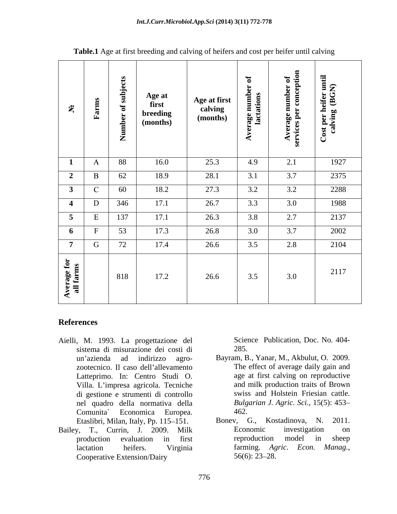| $\tilde{\mathbf{x}}$     | $\mathbf{S}$<br>ਥ<br>Far | subjects<br>$\mathbf{p}$<br>$\mathbf{d}$<br>Ź. | Age at<br>first<br>breeding<br>(months) | <b>Age at first</b><br>calving<br>(months) | Average number of<br>lactations | $\blacksquare$<br>Average number of<br>ervices per conception | Cost per heifer until<br>calving (BGN) |
|--------------------------|--------------------------|------------------------------------------------|-----------------------------------------|--------------------------------------------|---------------------------------|---------------------------------------------------------------|----------------------------------------|
|                          | $\mathbf{A}$             | 88                                             | 16.0                                    | 25.3                                       | 4.9                             | 2.1                                                           | 1927                                   |
| $\overline{\mathbf{c}}$  | $\mathbf{B}$             | 62                                             | 18.9                                    | 28.1                                       | 3.1                             | 3.7                                                           | 2375                                   |
| $\overline{\mathbf{3}}$  | $\mathbf{C}$             | 60                                             | 18.2                                    | 27.3                                       | 3.2                             | 3.2                                                           | 2288                                   |
| $\overline{\mathbf{4}}$  | $\mathbf{D}$             | 346                                            | 17.1                                    | 26.7                                       | 3.3                             | 3.0                                                           | 1988                                   |
| $5\overline{5}$          |                          | 137                                            | 17.1                                    | 26.3                                       | 3.8                             | 2.7                                                           | 2137                                   |
| $6\overline{6}$          | $\mathbf{E}$             | 53                                             | 17.3                                    | 26.8                                       | 3.0                             | 3.7                                                           | 2002                                   |
| $\overline{7}$           | $\mathbf G$              | 72                                             | 17.4                                    | 26.6                                       | 3.5                             | 2.8                                                           | 2104                                   |
| Average for<br>all farms |                          | 818                                            | 17.2                                    | 26.6                                       | 3.5                             | 3.0                                                           | 2117                                   |

**Table.1** Age at first breeding and calving of heifers and cost per heifer until calving

## **References**

- Aielli, M. 1993. La progettazione del sistema di misurazione dei costi di Latteprimo. In: Centro Studi O. Villa. L'impresa agricola. Tecniche di gestione e strumenti di controllo nel quadro della normativa della Comunita` Economica Europea.
- Cooperative Extension/Dairy 56(6): 23–28.

Science Publication, Doc. No. 404- 285.

- un azienda ad indirizzo agro- Bayram, B., Yanar, M., Akbulut, O. 2009. zootecnico. Il caso dell'allevamento The effect of average daily gain and age at first calving on reproductive and milk production traits of Brown swiss and Holstein Friesian cattle. *Bulgarian J. Agric. Sci.,* 15(5): 453 462.
- Etaslibri, Milan, Italy, Pp. 115–151. Bonev, G., Kostadinova, N. 2011.<br>v. T., Currin, J., 2009. Milk Bonomic investigation on Bailey, T., Currin, J. 2009. Milk production evaluation in first lactation heifers. Virginia harming. Agric. Econ. Manag., Bonev, G., Kostadinova, Economic investigation on reproduction model in sheep farming. *Agric. Econ. Manag.,*  $56(6)$ : 23–28.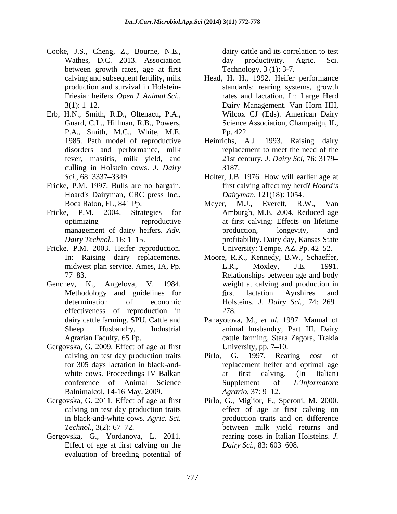- Cooke, J.S., Cheng, Z., Bourne, N.E., Wathes, D.C. 2013. Association day productivity. Agric. Sci. between growth rates, age at first
- Erb, H.N., Smith, R.D., Oltenacu, P.A., P.A., Smith, M.C., White, M.E. culling in Holstein cows. *J. Dairy*
- Fricke, P.M. 1997. Bulls are no bargain. Hoard's Dairyman, CRC press Inc.,
- 
- Fricke. P.M. 2003. Heifer reproduction.<br>In: Raising dairy replacements.
- Genchev, K., Angelova, V. 1984. effectiveness of reproduction in 278.
- Gergovska, G. 2009. Effect of age at first University, pp. 7–10. Balnimalcol, 14-16 May, 2009. *Agratio*, 37: 9-12.
- in black-and-white cows. *Agric. Sci.*
- Gergovska, G., Yordanova, L. 2011. Effect of age at first calving on the *Dairy Sci.*, 83: 603–608. evaluation of breeding potential of

dairy cattle and its correlation to test day productivity. Agric. Sci. Technology, 3 (1): 3-7.

- calving and subsequent fertility, milk Head, H. H., 1992. Heifer performance production and survival in Holstein- standards: rearing systems, growth Friesian heifers. *Open J. Animal Sci.,*  rates and lactation. In: Large Herd 3(1): 1 12. Dairy Management. Van Horn HH, Guard, C.L., Hillman, R.B., Powers, Science Association, Champaign, IL, Wilcox CJ (Eds). American Dairy Pp. 422.
- 1985. Path model of reproductive Heinrichs, A.J. 1993. Raising dairy disorders and performance, milk replacement to meet the need of the fever, mastitis, milk yield, and 21st century. *J. Dairy Sci,* 76: 3179 3187.
- *Sci.*, 68: 3337–3349. **Holter, J.B. 1976. How will earlier age at** first calving affect my herd? *Hoard s Dairyman,* 121(18): 1054.
- Boca Raton, FL, 841 Pp. Meyer, M.J., Everett, R.W., Van Fricke, P.M. 2004. Strategies for Amburgh, M.E. 2004. Reduced age optimizing reproductive at first calving: Effects on lifetime management of dairy heifers. *Adv*. **b** production, longevity, and Dairy Technol., 16: 1–15. The profitability. Dairy day, Kansas State Meyer, M.J., Everett, R.W., Van production, longevity, and University: Tempe, AZ. Pp. 42–52.
	- In: Raising dairy replacements. Moore, R.K., Kennedy, B.W., Schaeffer, midwest plan service. Ames, IA, Pp. L.R., Moxley, J.E. 1991. 77 83. Relationships between age and body Methodology and guidelines for first lactation Ayrshires and determination of economic Holsteins. *J. Dairy Sci.,* 74: 269 L.R., Moxley, J.E. 1991. weight at calving and production in rst lactation Ayrshires and 278.
	- dairy cattle farming. SPU, Cattle and Panayotova, M., *et al.* 1997. Manual of Sheep Husbandry, Industrial animal husbandry, Part III. Dairy Agrarian Faculty, 65 Pp. cattle farming, Stara Zagora, Trakia University,  $pp. 7–10$ .
	- calving on test day production traits Pirlo, G. 1997. Rearing cost of for 305 days lactation in black-and- replacement heifer and optimal age white cows. Proceedings IV Balkan at first calving. (In Italian) conference of Animal Science Supplement of *L'Informatore* Pirlo, G. 1997. Rearing cost of at first calving. (In Italian) Supplement of *L Informatore Agrario, 37: 9–12.*
- Gergovska, G. 2011. Effect of age at first Pirlo, G., Miglior, F., Speroni, M. 2000. calving on test day production traits effect of age at first calving on *Technol.*, 3(2): 67–72. between milk yield returns and production traits and on difference rearing costs in Italian Holsteins. *J. Dairy Sci.,* 83: 603–608.